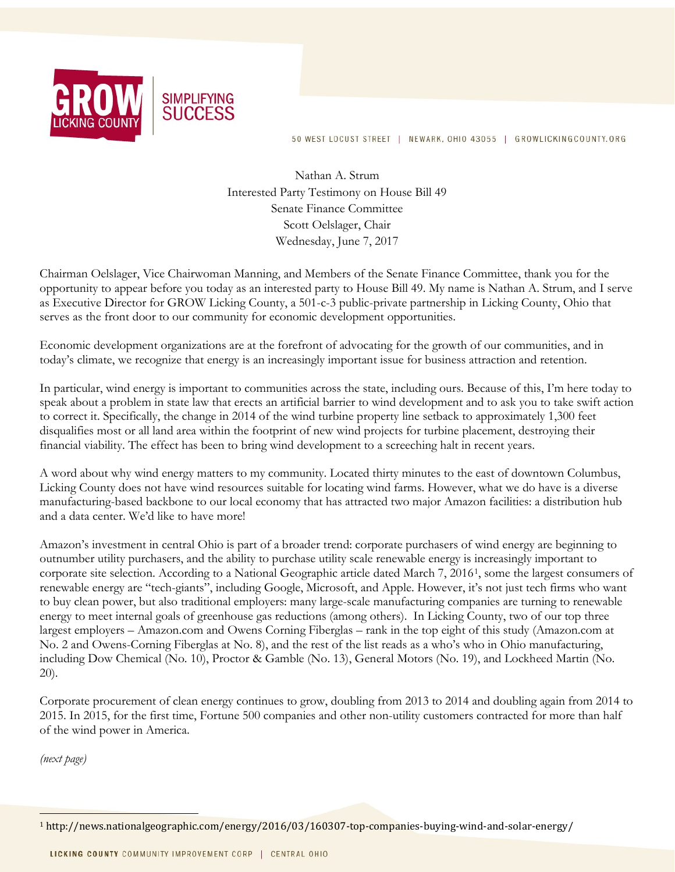

50 WEST LOCUST STREET | NEWARK, OHIO 43055 | GROWLICKINGCOUNTY.ORG

Nathan A. Strum Interested Party Testimony on House Bill 49 Senate Finance Committee Scott Oelslager, Chair Wednesday, June 7, 2017

Chairman Oelslager, Vice Chairwoman Manning, and Members of the Senate Finance Committee, thank you for the opportunity to appear before you today as an interested party to House Bill 49. My name is Nathan A. Strum, and I serve as Executive Director for GROW Licking County, a 501-c-3 public-private partnership in Licking County, Ohio that serves as the front door to our community for economic development opportunities.

Economic development organizations are at the forefront of advocating for the growth of our communities, and in today's climate, we recognize that energy is an increasingly important issue for business attraction and retention.

In particular, wind energy is important to communities across the state, including ours. Because of this, I'm here today to speak about a problem in state law that erects an artificial barrier to wind development and to ask you to take swift action to correct it. Specifically, the change in 2014 of the wind turbine property line setback to approximately 1,300 feet disqualifies most or all land area within the footprint of new wind projects for turbine placement, destroying their financial viability. The effect has been to bring wind development to a screeching halt in recent years.

A word about why wind energy matters to my community. Located thirty minutes to the east of downtown Columbus, Licking County does not have wind resources suitable for locating wind farms. However, what we do have is a diverse manufacturing-based backbone to our local economy that has attracted two major Amazon facilities: a distribution hub and a data center. We'd like to have more!

Amazon's investment in central Ohio is part of a broader trend: corporate purchasers of wind energy are beginning to outnumber utility purchasers, and the ability to purchase utility scale renewable energy is increasingly important to corporate site selection. According to a National Geographic article dated March 7, 20161, some the largest consumers of renewable energy are "tech-giants", including Google, Microsoft, and Apple. However, it's not just tech firms who want to buy clean power, but also traditional employers: many large-scale manufacturing companies are turning to renewable energy to meet internal goals of greenhouse gas reductions (among others). In Licking County, two of our top three largest employers – Amazon.com and Owens Corning Fiberglas – rank in the top eight of this study (Amazon.com at No. 2 and Owens-Corning Fiberglas at No. 8), and the rest of the list reads as a who's who in Ohio manufacturing, including Dow Chemical (No. 10), Proctor & Gamble (No. 13), General Motors (No. 19), and Lockheed Martin (No. 20).

Corporate procurement of clean energy continues to grow, doubling from 2013 to 2014 and doubling again from 2014 to 2015. In 2015, for the first time, Fortune 500 companies and other non-utility customers contracted for more than half of the wind power in America.

(next page)

<sup>1</sup> http://news.nationalgeographic.com/energy/2016/03/160307-top-companies-buying-wind-and-solar-energy/